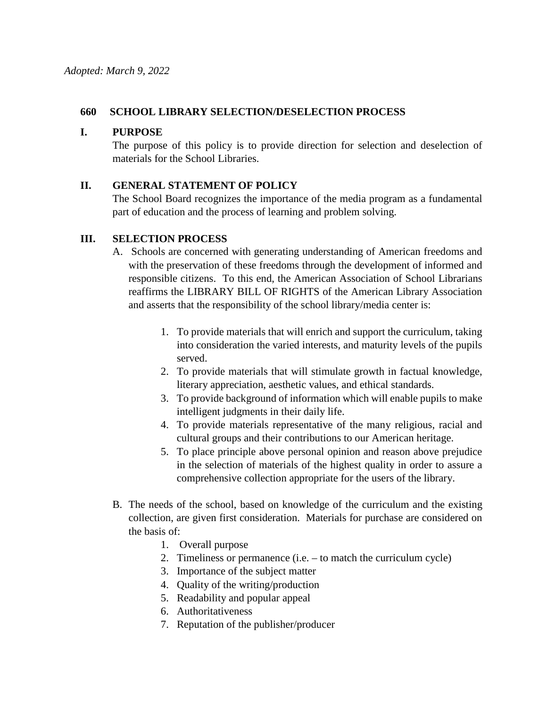#### **660 SCHOOL LIBRARY SELECTION/DESELECTION PROCESS**

### **I. PURPOSE**

The purpose of this policy is to provide direction for selection and deselection of materials for the School Libraries.

#### **II. GENERAL STATEMENT OF POLICY**

The School Board recognizes the importance of the media program as a fundamental part of education and the process of learning and problem solving.

# **III. SELECTION PROCESS**

- A. Schools are concerned with generating understanding of American freedoms and with the preservation of these freedoms through the development of informed and responsible citizens. To this end, the American Association of School Librarians reaffirms the LIBRARY BILL OF RIGHTS of the American Library Association and asserts that the responsibility of the school library/media center is:
	- 1. To provide materials that will enrich and support the curriculum, taking into consideration the varied interests, and maturity levels of the pupils served.
	- 2. To provide materials that will stimulate growth in factual knowledge, literary appreciation, aesthetic values, and ethical standards.
	- 3. To provide background of information which will enable pupils to make intelligent judgments in their daily life.
	- 4. To provide materials representative of the many religious, racial and cultural groups and their contributions to our American heritage.
	- 5. To place principle above personal opinion and reason above prejudice in the selection of materials of the highest quality in order to assure a comprehensive collection appropriate for the users of the library.
- B. The needs of the school, based on knowledge of the curriculum and the existing collection, are given first consideration. Materials for purchase are considered on the basis of:
	- 1. Overall purpose
	- 2. Timeliness or permanence (i.e. to match the curriculum cycle)
	- 3. Importance of the subject matter
	- 4. Quality of the writing/production
	- 5. Readability and popular appeal
	- 6. Authoritativeness
	- 7. Reputation of the publisher/producer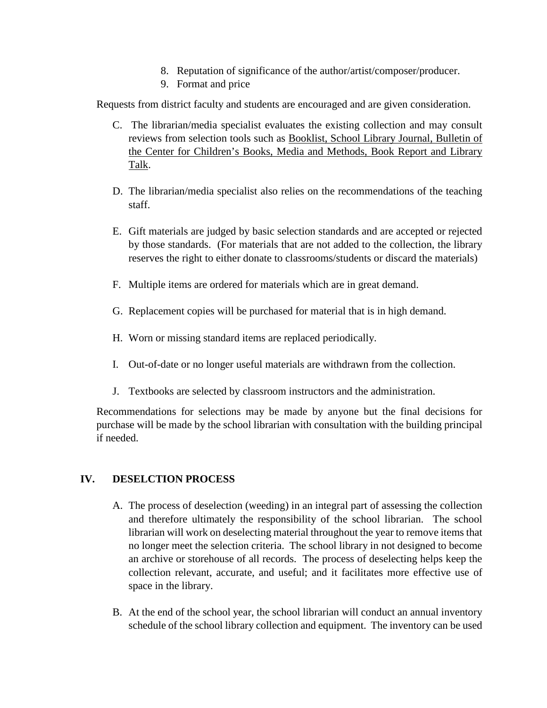- 8. Reputation of significance of the author/artist/composer/producer.
- 9. Format and price

Requests from district faculty and students are encouraged and are given consideration.

- C. The librarian/media specialist evaluates the existing collection and may consult reviews from selection tools such as Booklist, School Library Journal, Bulletin of the Center for Children's Books, Media and Methods, Book Report and Library Talk.
- D. The librarian/media specialist also relies on the recommendations of the teaching staff.
- E. Gift materials are judged by basic selection standards and are accepted or rejected by those standards. (For materials that are not added to the collection, the library reserves the right to either donate to classrooms/students or discard the materials)
- F. Multiple items are ordered for materials which are in great demand.
- G. Replacement copies will be purchased for material that is in high demand.
- H. Worn or missing standard items are replaced periodically.
- I. Out-of-date or no longer useful materials are withdrawn from the collection.
- J. Textbooks are selected by classroom instructors and the administration.

Recommendations for selections may be made by anyone but the final decisions for purchase will be made by the school librarian with consultation with the building principal if needed.

# **IV. DESELCTION PROCESS**

- A. The process of deselection (weeding) in an integral part of assessing the collection and therefore ultimately the responsibility of the school librarian. The school librarian will work on deselecting material throughout the year to remove items that no longer meet the selection criteria. The school library in not designed to become an archive or storehouse of all records. The process of deselecting helps keep the collection relevant, accurate, and useful; and it facilitates more effective use of space in the library.
- B. At the end of the school year, the school librarian will conduct an annual inventory schedule of the school library collection and equipment. The inventory can be used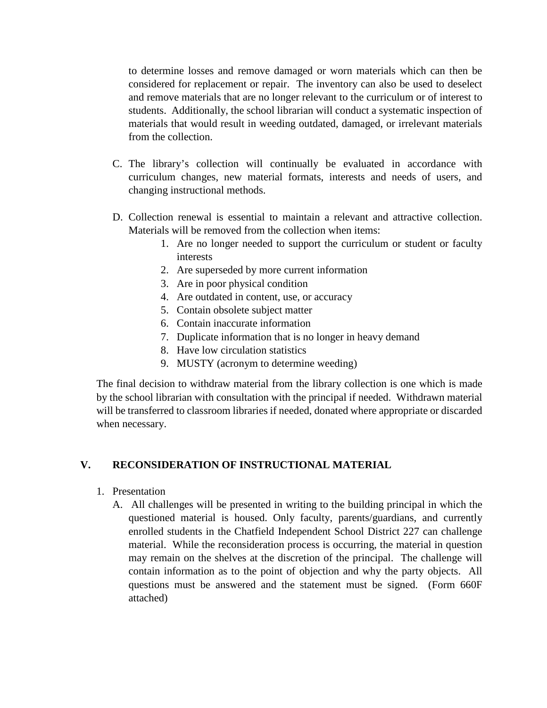to determine losses and remove damaged or worn materials which can then be considered for replacement or repair. The inventory can also be used to deselect and remove materials that are no longer relevant to the curriculum or of interest to students. Additionally, the school librarian will conduct a systematic inspection of materials that would result in weeding outdated, damaged, or irrelevant materials from the collection.

- C. The library's collection will continually be evaluated in accordance with curriculum changes, new material formats, interests and needs of users, and changing instructional methods.
- D. Collection renewal is essential to maintain a relevant and attractive collection. Materials will be removed from the collection when items:
	- 1. Are no longer needed to support the curriculum or student or faculty interests
	- 2. Are superseded by more current information
	- 3. Are in poor physical condition
	- 4. Are outdated in content, use, or accuracy
	- 5. Contain obsolete subject matter
	- 6. Contain inaccurate information
	- 7. Duplicate information that is no longer in heavy demand
	- 8. Have low circulation statistics
	- 9. MUSTY (acronym to determine weeding)

The final decision to withdraw material from the library collection is one which is made by the school librarian with consultation with the principal if needed. Withdrawn material will be transferred to classroom libraries if needed, donated where appropriate or discarded when necessary.

# **V. RECONSIDERATION OF INSTRUCTIONAL MATERIAL**

- 1. Presentation
	- A. All challenges will be presented in writing to the building principal in which the questioned material is housed. Only faculty, parents/guardians, and currently enrolled students in the Chatfield Independent School District 227 can challenge material. While the reconsideration process is occurring, the material in question may remain on the shelves at the discretion of the principal. The challenge will contain information as to the point of objection and why the party objects. All questions must be answered and the statement must be signed. (Form 660F attached)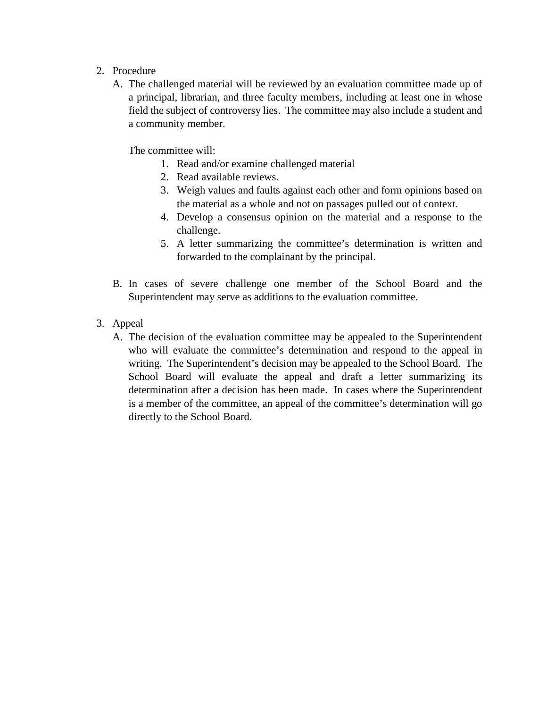- 2. Procedure
	- A. The challenged material will be reviewed by an evaluation committee made up of a principal, librarian, and three faculty members, including at least one in whose field the subject of controversy lies. The committee may also include a student and a community member.

The committee will:

- 1. Read and/or examine challenged material
- 2. Read available reviews.
- 3. Weigh values and faults against each other and form opinions based on the material as a whole and not on passages pulled out of context.
- 4. Develop a consensus opinion on the material and a response to the challenge.
- 5. A letter summarizing the committee's determination is written and forwarded to the complainant by the principal.
- B. In cases of severe challenge one member of the School Board and the Superintendent may serve as additions to the evaluation committee.
- 3. Appeal
	- A. The decision of the evaluation committee may be appealed to the Superintendent who will evaluate the committee's determination and respond to the appeal in writing. The Superintendent's decision may be appealed to the School Board. The School Board will evaluate the appeal and draft a letter summarizing its determination after a decision has been made. In cases where the Superintendent is a member of the committee, an appeal of the committee's determination will go directly to the School Board.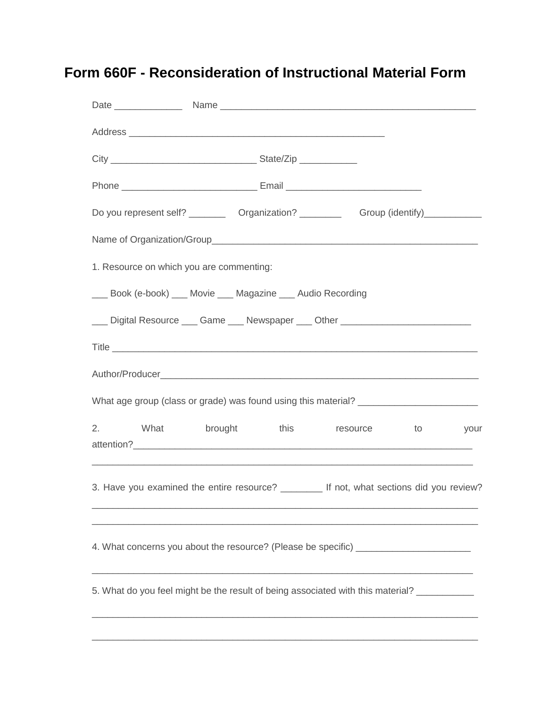# **Form 660F - Reconsideration of Instructional Material Form**

|                                                                                            | Do you represent self? ___________ Organization? ______________ Group (identify)_____________                 |  |  |
|--------------------------------------------------------------------------------------------|---------------------------------------------------------------------------------------------------------------|--|--|
|                                                                                            |                                                                                                               |  |  |
| 1. Resource on which you are commenting:                                                   |                                                                                                               |  |  |
|                                                                                            | ___ Book (e-book) ___ Movie ___ Magazine ___ Audio Recording                                                  |  |  |
|                                                                                            | Luis Digital Resource Luis Game Luis Newspaper Luis Other Luis Luis Luis Luis Digital Resource Luis Game Luis |  |  |
|                                                                                            |                                                                                                               |  |  |
|                                                                                            |                                                                                                               |  |  |
| What age group (class or grade) was found using this material? __________________          |                                                                                                               |  |  |
|                                                                                            | 2. What brought this resource to your<br><u> 1989 - Johann Stoff, amerikansk politiker (d. 1989)</u>          |  |  |
|                                                                                            | 3. Have you examined the entire resource? ________ If not, what sections did you review?                      |  |  |
| 4. What concerns you about the resource? (Please be specific) __________________           |                                                                                                               |  |  |
| 5. What do you feel might be the result of being associated with this material? __________ |                                                                                                               |  |  |
|                                                                                            |                                                                                                               |  |  |